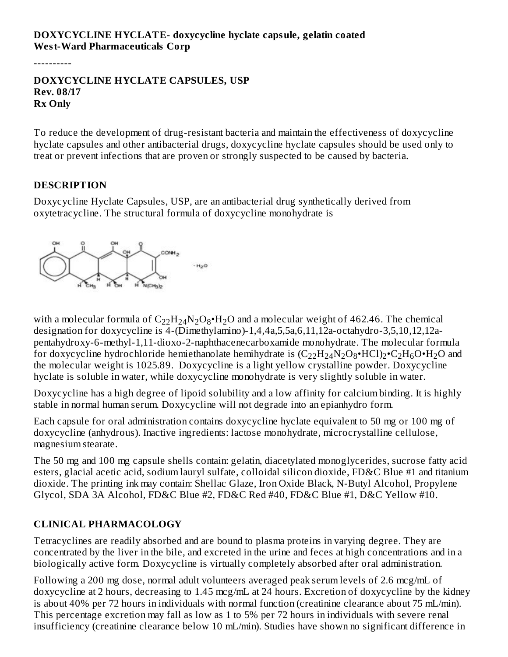### **DOXYCYCLINE HYCLATE- doxycycline hyclate capsule, gelatin coated West-Ward Pharmaceuticals Corp**

----------

#### **DOXYCYCLINE HYCLATE CAPSULES, USP Rev. 08/17 Rx Only**

To reduce the development of drug-resistant bacteria and maintain the effectiveness of doxycycline hyclate capsules and other antibacterial drugs, doxycycline hyclate capsules should be used only to treat or prevent infections that are proven or strongly suspected to be caused by bacteria.

#### **DESCRIPTION**

Doxycycline Hyclate Capsules, USP, are an antibacterial drug synthetically derived from oxytetracycline. The structural formula of doxycycline monohydrate is



with a molecular formula of  $\rm{C_{22}H_{24}N_{2}O_{8}\bullet H_{2}O}$  and a molecular weight of 462.46. The chemical designation for doxycycline is 4-(Dimethylamino)-1,4,4a,5,5a,6,11,12a-octahydro-3,5,10,12,12apentahydroxy-6-methyl-1,11-dioxo-2-naphthacenecarboxamide monohydrate. The molecular formula for doxycycline hydrochloride hemiethanolate hemihydrate is  $(\rm{C}_{22}H_{24}N_2O_8\bullet HCl)_2\bullet C_2H_6O\bullet H_2O$  and the molecular weight is 1025.89. Doxycycline is a light yellow crystalline powder. Doxycycline hyclate is soluble in water, while doxycycline monohydrate is very slightly soluble in water.

Doxycycline has a high degree of lipoid solubility and a low affinity for calcium binding. It is highly stable in normal human serum. Doxycycline will not degrade into an epianhydro form.

Each capsule for oral administration contains doxycycline hyclate equivalent to 50 mg or 100 mg of doxycycline (anhydrous). Inactive ingredients: lactose monohydrate, microcrystalline cellulose, magnesium stearate.

The 50 mg and 100 mg capsule shells contain: gelatin, diacetylated monoglycerides, sucrose fatty acid esters, glacial acetic acid, sodium lauryl sulfate, colloidal silicon dioxide, FD&C Blue #1 and titanium dioxide. The printing ink may contain: Shellac Glaze, Iron Oxide Black, N-Butyl Alcohol, Propylene Glycol, SDA 3A Alcohol, FD&C Blue #2, FD&C Red #40, FD&C Blue #1, D&C Yellow #10.

### **CLINICAL PHARMACOLOGY**

Tetracyclines are readily absorbed and are bound to plasma proteins in varying degree. They are concentrated by the liver in the bile, and excreted in the urine and feces at high concentrations and in a biologically active form. Doxycycline is virtually completely absorbed after oral administration.

Following a 200 mg dose, normal adult volunteers averaged peak serum levels of 2.6 mcg/mL of doxycycline at 2 hours, decreasing to 1.45 mcg/mL at 24 hours. Excretion of doxycycline by the kidney is about 40% per 72 hours in individuals with normal function (creatinine clearance about 75 mL/min). This percentage excretion may fall as low as 1 to 5% per 72 hours in individuals with severe renal insufficiency (creatinine clearance below 10 mL/min). Studies have shown no significant difference in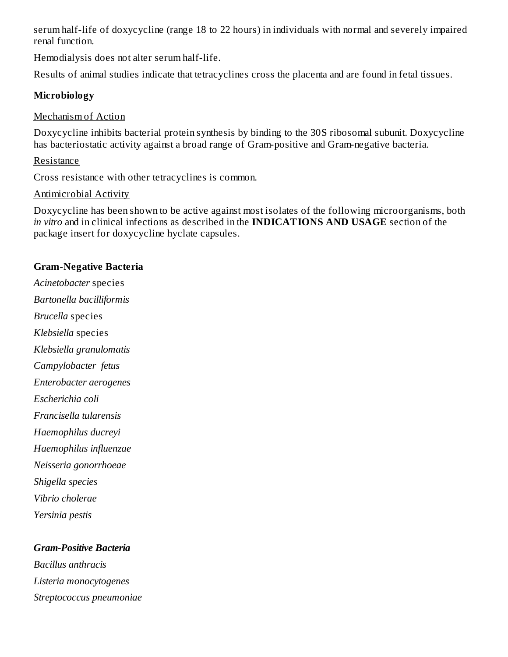serum half-life of doxycycline (range 18 to 22 hours) in individuals with normal and severely impaired renal function.

Hemodialysis does not alter serum half-life.

Results of animal studies indicate that tetracyclines cross the placenta and are found in fetal tissues.

### **Microbiology**

#### Mechanism of Action

Doxycycline inhibits bacterial protein synthesis by binding to the 30S ribosomal subunit. Doxycycline has bacteriostatic activity against a broad range of Gram-positive and Gram-negative bacteria.

#### Resistance

Cross resistance with other tetracyclines is common.

#### Antimicrobial Activity

Doxycycline has been shown to be active against most isolates of the following microorganisms, both *in vitro* and in clinical infections as described in the **INDICATIONS AND USAGE** section of the package insert for doxycycline hyclate capsules.

### **Gram-Negative Bacteria**

*Acinetobacter* species *Bartonella bacilliformis Brucella* species *Klebsiella* species *Klebsiella granulomatis Campylobacter fetus Enterobacter aerogenes Escherichia coli Francisella tularensis Haemophilus ducreyi Haemophilus influenzae Neisseria gonorrhoeae Shigella species Vibrio cholerae Yersinia pestis*

### *Gram-Positive Bacteria*

*Bacillus anthracis Listeria monocytogenes Streptococcus pneumoniae*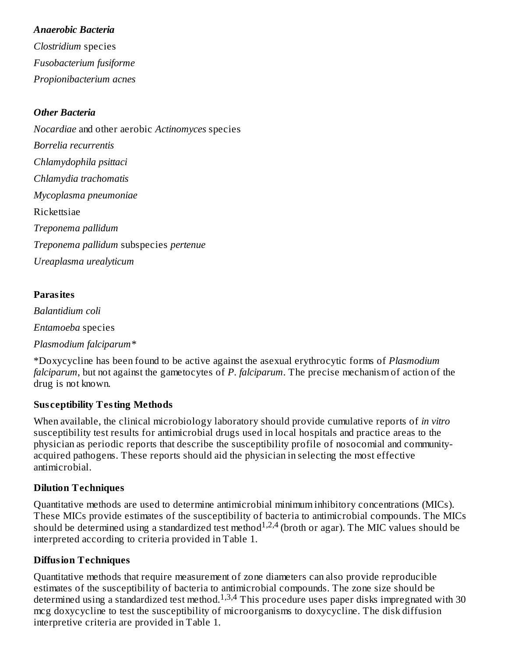### *Anaerobic Bacteria*

*Clostridium* species *Fusobacterium fusiforme Propionibacterium acnes*

### *Other Bacteria*

*Nocardiae* and other aerobic *Actinomyces* species *Borrelia recurrentis Chlamydophila psittaci Chlamydia trachomatis Mycoplasma pneumoniae* **Rickettsiae** *Treponema pallidum Treponema pallidum* subspecies *pertenue Ureaplasma urealyticum*

#### **Parasites**

*Balantidium coli*

*Entamoeba* species

*Plasmodium falciparum\**

\*Doxycycline has been found to be active against the asexual erythrocytic forms of *Plasmodium falciparum*, but not against the gametocytes of *P. falciparum*. The precise mechanism of action of the drug is not known.

#### **Sus ceptibility Testing Methods**

When available, the clinical microbiology laboratory should provide cumulative reports of *in vitro* susceptibility test results for antimicrobial drugs used in local hospitals and practice areas to the physician as periodic reports that describe the susceptibility profile of nosocomial and communityacquired pathogens. These reports should aid the physician in selecting the most effective antimicrobial.

### **Dilution Techniques**

Quantitative methods are used to determine antimicrobial minimum inhibitory concentrations (MICs). These MICs provide estimates of the susceptibility of bacteria to antimicrobial compounds. The MICs should be determined using a standardized test method<sup>1,2,4</sup> (broth or agar). The MIC values should be interpreted according to criteria provided in Table 1.

#### **Diffusion Techniques**

Quantitative methods that require measurement of zone diameters can also provide reproducible estimates of the susceptibility of bacteria to antimicrobial compounds. The zone size should be determined using a standardized test method.<sup>1,3,4</sup> This procedure uses paper disks impregnated with 30 mcg doxycycline to test the susceptibility of microorganisms to doxycycline. The disk diffusion interpretive criteria are provided in Table 1.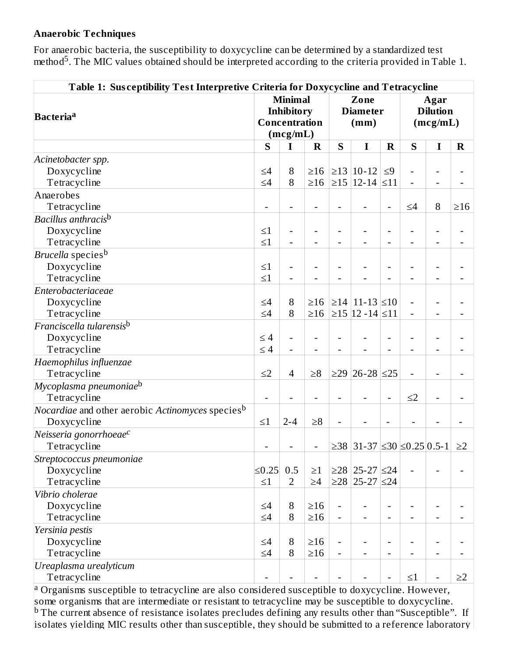#### **Anaerobic Techniques**

For anaerobic bacteria, the susceptibility to doxycycline can be determined by a standardized test method<sup>5</sup>. The MIC values obtained should be interpreted according to the criteria provided in Table 1.

| Table 1: Susceptibility Test Interpretive Criteria for Doxycycline and Tetracycline |                      |                                                      |           |                                 |                                 |                                            |                          |                          |             |
|-------------------------------------------------------------------------------------|----------------------|------------------------------------------------------|-----------|---------------------------------|---------------------------------|--------------------------------------------|--------------------------|--------------------------|-------------|
| <b>Bacteria</b> <sup>a</sup>                                                        |                      | <b>Minimal</b><br><b>Inhibitory</b><br>Concentration |           | Zone<br><b>Diameter</b><br>(mm) |                                 | <b>Agar</b><br><b>Dilution</b><br>(mcg/mL) |                          |                          |             |
|                                                                                     | S                    | (mcg/mL)<br>I                                        | $\bf R$   | S                               | $\mathbf I$                     | $\mathbf R$                                | S                        | I                        | $\mathbf R$ |
|                                                                                     |                      |                                                      |           |                                 |                                 |                                            |                          |                          |             |
| Acinetobacter spp.<br>Doxycycline                                                   | $\leq 4$             | 8                                                    | $\geq 16$ |                                 | $\geq$ 13   10-12               | $\leq$ 9                                   |                          |                          |             |
| Tetracycline                                                                        | $\leq 4$             | 8                                                    | $\geq 16$ |                                 | $\geq$ 15   12-14               | $\leq$ 11                                  |                          |                          |             |
| Anaerobes                                                                           |                      |                                                      |           |                                 |                                 |                                            |                          |                          |             |
| Tetracycline                                                                        |                      |                                                      |           |                                 |                                 |                                            | $\leq 4$                 | 8                        | $\geq 16$   |
| Bacillus anthracis <sup>b</sup>                                                     | ۳                    |                                                      |           |                                 |                                 | $\overline{\phantom{a}}$                   |                          |                          |             |
|                                                                                     |                      |                                                      |           |                                 |                                 |                                            |                          |                          |             |
| Doxycycline                                                                         | $\leq 1$<br>$\leq$ 1 |                                                      |           |                                 |                                 | $\overline{\phantom{0}}$                   |                          |                          |             |
| Tetracycline                                                                        |                      |                                                      |           |                                 |                                 |                                            |                          |                          |             |
| Brucella species <sup>b</sup>                                                       |                      |                                                      |           |                                 |                                 |                                            |                          |                          |             |
| Doxycycline                                                                         | $\leq 1$             |                                                      |           |                                 |                                 |                                            |                          |                          |             |
| Tetracycline                                                                        | $\leq$ 1             |                                                      |           |                                 |                                 |                                            |                          |                          |             |
| Enterobacteriaceae                                                                  |                      |                                                      |           |                                 |                                 |                                            |                          |                          |             |
| Doxycycline                                                                         | $\leq 4$             | 8                                                    | $\geq 16$ |                                 | $\geq$ 14   11-13 $\leq$ 10     |                                            |                          |                          |             |
| Tetracycline                                                                        | $\leq 4$             | 8                                                    | $\geq 16$ |                                 | $\geq$ 15 $ 12 - 14  \leq 11$   |                                            |                          |                          |             |
| Franciscella tularensis <sup>b</sup>                                                |                      |                                                      |           |                                 |                                 |                                            |                          |                          |             |
| Doxycycline                                                                         | $\leq 4$             |                                                      |           |                                 |                                 | -                                          |                          |                          |             |
| Tetracycline                                                                        | $\leq 4$             |                                                      |           |                                 |                                 |                                            |                          |                          |             |
| Haemophilus influenzae                                                              |                      |                                                      |           |                                 |                                 |                                            |                          |                          |             |
| Tetracycline                                                                        | $\leq$ 2             | $\overline{4}$                                       | $\geq 8$  |                                 | $\geq$ 29 26-28 ≤25             |                                            | $\overline{\phantom{0}}$ | $\overline{\phantom{0}}$ |             |
| Mycoplasma pneumoniae <sup>b</sup>                                                  |                      |                                                      |           |                                 |                                 |                                            |                          |                          |             |
| Tetracycline                                                                        | ۳                    |                                                      |           |                                 |                                 | $\overline{\phantom{a}}$                   | $\leq$ 2                 |                          |             |
| <i>Nocardiae</i> and other aerobic <i>Actinomyces</i> species <sup>b</sup>          |                      |                                                      |           |                                 |                                 |                                            |                          |                          |             |
| Doxycycline                                                                         | ${\leq}1$            | $2 - 4$                                              | $\geq 8$  |                                 |                                 | $\overline{a}$                             |                          |                          |             |
| Neisseria gonorrhoeae <sup>c</sup>                                                  |                      |                                                      |           |                                 |                                 |                                            |                          |                          |             |
| Tetracycline                                                                        |                      |                                                      |           |                                 | $\geq$ 38 31-37 ≤30 ≤0.25 0.5-1 |                                            |                          |                          | $\geq$ 2    |
| Streptococcus pneumoniae                                                            |                      |                                                      |           |                                 |                                 |                                            |                          |                          |             |
| Doxycycline                                                                         | $\leq 0.25$          | 0.5                                                  | $\geq$ 1  |                                 | $\geq$ 28 25-27 $\leq$ 24       |                                            |                          |                          |             |
| Tetracycline                                                                        | $\leq 1$             | 2                                                    | $\geq 4$  |                                 | $\geq$ 28 25-27 $\leq$ 24       |                                            |                          |                          |             |
| Vibrio cholerae                                                                     |                      |                                                      |           |                                 |                                 |                                            |                          |                          |             |
| Doxycycline                                                                         | $\leq 4$             | 8                                                    | $\geq 16$ |                                 |                                 |                                            |                          |                          |             |
| Tetracycline                                                                        | $\leq 4$             | 8                                                    | $\geq 16$ |                                 |                                 | $\overline{\phantom{a}}$                   |                          |                          |             |
| Yersinia pestis                                                                     |                      |                                                      |           |                                 |                                 |                                            |                          |                          |             |
| Doxycycline                                                                         | $\leq 4$             | 8                                                    | $\geq 16$ |                                 |                                 | $\overline{\phantom{a}}$                   |                          |                          |             |
| Tetracycline                                                                        | $\leq\!\!4$          | 8                                                    | $\geq 16$ | $\overline{\phantom{0}}$        | -                               | $\overline{\phantom{a}}$                   | $\blacksquare$           |                          |             |
| Ureaplasma urealyticum                                                              |                      |                                                      |           |                                 |                                 |                                            |                          |                          |             |
| Tetracycline                                                                        |                      |                                                      |           |                                 |                                 |                                            | ${\leq}1$                |                          | $\geq$ 2    |

<sup>a</sup> Organisms susceptible to tetracycline are also considered susceptible to doxycycline. However, some organisms that are intermediate or resistant to tetracycline may be susceptible to doxycycline. <sup>b</sup> The current absence of resistance isolates precludes defining any results other than "Susceptible". If isolates yielding MIC results other than susceptible, they should be submitted to a reference laboratory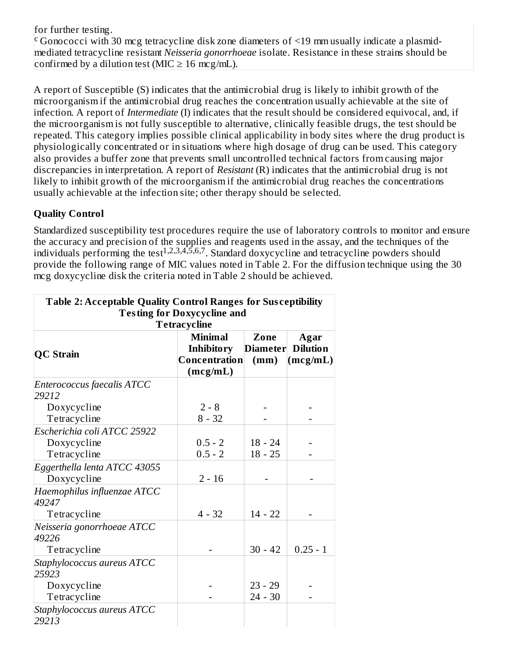for further testing.  $\rm ^c$  Gonococci with 30 mcg tetracycline disk zone diameters of <19 mm usually indicate a plasmidmediated tetracycline resistant *Neisseria gonorrhoeae* isolate. Resistance in these strains should be confirmed by a dilution test (MIC  $\geq$  16 mcg/mL).

A report of Susceptible (S) indicates that the antimicrobial drug is likely to inhibit growth of the microorganism if the antimicrobial drug reaches the concentration usually achievable at the site of infection. A report of *Intermediate* (I) indicates that the result should be considered equivocal, and, if the microorganism is not fully susceptible to alternative, clinically feasible drugs, the test should be repeated. This category implies possible clinical applicability in body sites where the drug product is physiologically concentrated or in situations where high dosage of drug can be used. This category also provides a buffer zone that prevents small uncontrolled technical factors from causing major discrepancies in interpretation. A report of *Resistant* (R) indicates that the antimicrobial drug is not likely to inhibit growth of the microorganism if the antimicrobial drug reaches the concentrations usually achievable at the infection site; other therapy should be selected.

# **Quality Control**

Standardized susceptibility test procedures require the use of laboratory controls to monitor and ensure the accuracy and precision of the supplies and reagents used in the assay, and the techniques of the individuals performing the test<sup>1,2,3,4,5,6,7</sup>. Standard doxycycline and tetracycline powders should provide the following range of MIC values noted in Table 2. For the diffusion technique using the 30 mcg doxycycline disk the criteria noted in Table 2 should be achieved.

| <b>Table 2: Acceptable Quality Control Ranges for Susceptibility</b><br><b>Testing for Doxycycline and</b><br><b>Tetracycline</b> |                                                                  |                                 |                                                              |  |  |  |  |
|-----------------------------------------------------------------------------------------------------------------------------------|------------------------------------------------------------------|---------------------------------|--------------------------------------------------------------|--|--|--|--|
| <b>QC Strain</b>                                                                                                                  | <b>Minimal</b><br><b>Inhibitory</b><br>Concentration<br>(mcg/mL) | Zone<br><b>Diameter</b><br>(mm) | Agar<br><b>Dilution</b><br>$\left(\frac{m\gamma}{mL}\right)$ |  |  |  |  |
| Enterococcus faecalis ATCC<br>29212                                                                                               |                                                                  |                                 |                                                              |  |  |  |  |
| Doxycycline<br>Tetracycline                                                                                                       | $2 - 8$<br>$8 - 32$                                              |                                 |                                                              |  |  |  |  |
| Escherichia coli ATCC 25922<br>Doxycycline<br>Tetracycline                                                                        | $0.5 - 2$<br>$0.5 - 2$                                           | $18 - 24$<br>$18 - 25$          |                                                              |  |  |  |  |
| Eggerthella lenta ATCC 43055<br>Doxycycline                                                                                       | $2 - 16$                                                         |                                 |                                                              |  |  |  |  |
| Haemophilus influenzae ATCC<br>49247                                                                                              |                                                                  |                                 |                                                              |  |  |  |  |
| Tetracycline<br>Neisseria gonorrhoeae ATCC<br>49226                                                                               | 4 - 32                                                           | $14 - 22$                       |                                                              |  |  |  |  |
| Tetracycline<br>Staphylococcus aureus ATCC<br>25923                                                                               |                                                                  | $30 - 42$                       | $0.25 - 1$                                                   |  |  |  |  |
| Doxycycline<br>Tetracycline                                                                                                       |                                                                  | $23 - 29$<br>$24 - 30$          |                                                              |  |  |  |  |
| Staphylococcus aureus ATCC<br>29213                                                                                               |                                                                  |                                 |                                                              |  |  |  |  |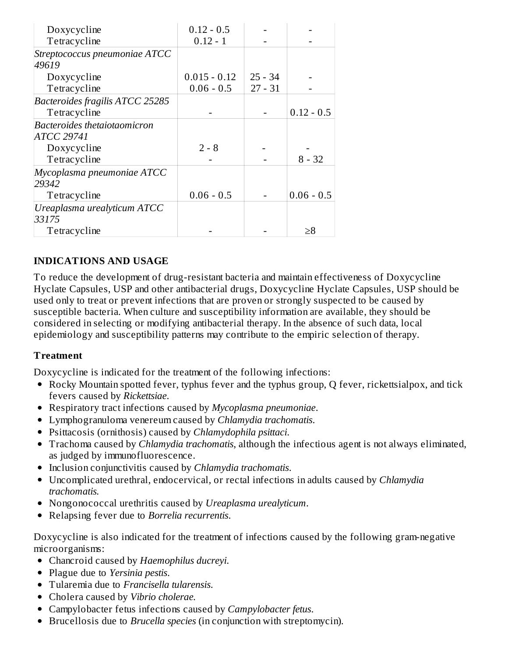| Doxycycline                            | $0.12 - 0.5$   |           |              |
|----------------------------------------|----------------|-----------|--------------|
| Tetracycline                           | $0.12 - 1$     |           |              |
| Streptococcus pneumoniae ATCC<br>49619 |                |           |              |
| Doxycycline                            | $0.015 - 0.12$ | $25 - 34$ |              |
| Tetracycline                           | $0.06 - 0.5$   | $27 - 31$ |              |
| Bacteroides fragilis ATCC 25285        |                |           |              |
| Tetracycline                           |                |           | $0.12 - 0.5$ |
| Bacteroides thetaiotaomicron           |                |           |              |
| ATCC 29741                             |                |           |              |
| Doxycycline                            | $2 - 8$        |           |              |
| Tetracycline                           |                |           | $8 - 32$     |
| Mycoplasma pneumoniae ATCC<br>29342    |                |           |              |
| Tetracycline                           | $0.06 - 0.5$   |           | $0.06 - 0.5$ |
| Ureaplasma urealyticum ATCC<br>33175   |                |           |              |
| Tetracycline                           |                |           | >8           |

### **INDICATIONS AND USAGE**

To reduce the development of drug-resistant bacteria and maintain effectiveness of Doxycycline Hyclate Capsules, USP and other antibacterial drugs, Doxycycline Hyclate Capsules, USP should be used only to treat or prevent infections that are proven or strongly suspected to be caused by susceptible bacteria. When culture and susceptibility information are available, they should be considered in selecting or modifying antibacterial therapy. In the absence of such data, local epidemiology and susceptibility patterns may contribute to the empiric selection of therapy.

### **Treatment**

Doxycycline is indicated for the treatment of the following infections:

- Rocky Mountain spotted fever, typhus fever and the typhus group, Q fever, rickettsialpox, and tick fevers caused by *Rickettsiae*.
- Respiratory tract infections caused by *Mycoplasma pneumoniae*.
- Lymphogranuloma venereum caused by *Chlamydia trachomatis*.
- Psittacosis (ornithosis) caused by *Chlamydophila psittaci*.
- Trachoma caused by *Chlamydia trachomatis*, although the infectious agent is not always eliminated, as judged by immunofluorescence.
- Inclusion conjunctivitis caused by *Chlamydia trachomatis*.
- Uncomplicated urethral, endocervical, or rectal infections in adults caused by *Chlamydia trachomatis.*
- Nongonococcal urethritis caused by *Ureaplasma urealyticum*.
- Relapsing fever due to *Borrelia recurrentis*.

Doxycycline is also indicated for the treatment of infections caused by the following gram-negative microorganisms:

- Chancroid caused by *Haemophilus ducreyi*.
- Plague due to *Yersinia pestis*.
- Tularemia due to *Francisella tularensis*.
- Cholera caused by *Vibrio cholerae.*
- Campylobacter fetus infections caused by *Campylobacter fetus*.
- Brucellosis due to *Brucella species* (in conjunction with streptomycin).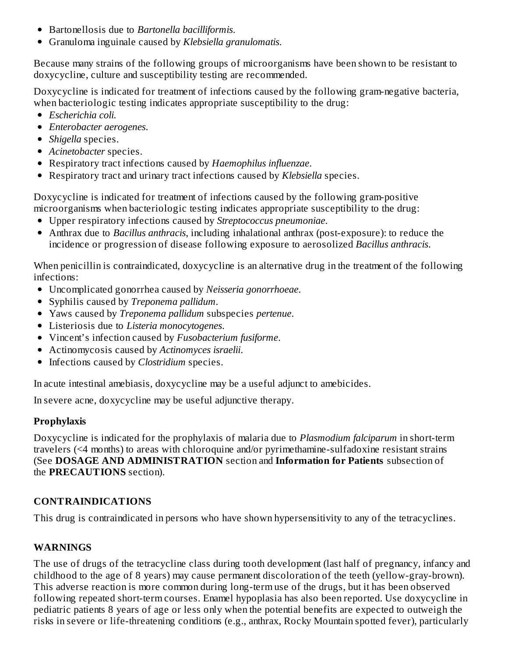- Bartonellosis due to *Bartonella bacilliformis*.
- Granuloma inguinale caused by *Klebsiella granulomatis*.

Because many strains of the following groups of microorganisms have been shown to be resistant to doxycycline, culture and susceptibility testing are recommended.

Doxycycline is indicated for treatment of infections caused by the following gram-negative bacteria, when bacteriologic testing indicates appropriate susceptibility to the drug:

- *Escherichia coli.*
- *Enterobacter aerogenes*.
- *Shigella* species.
- *Acinetobacter* species.
- Respiratory tract infections caused by *Haemophilus influenzae*.
- Respiratory tract and urinary tract infections caused by *Klebsiella* species.

Doxycycline is indicated for treatment of infections caused by the following gram-positive microorganisms when bacteriologic testing indicates appropriate susceptibility to the drug:

- Upper respiratory infections caused by *Streptococcus pneumoniae*.
- Anthrax due to *Bacillus anthracis*, including inhalational anthrax (post-exposure): to reduce the incidence or progression of disease following exposure to aerosolized *Bacillus anthracis*.

When penicillin is contraindicated, doxycycline is an alternative drug in the treatment of the following infections:

- Uncomplicated gonorrhea caused by *Neisseria gonorrhoeae*.
- Syphilis caused by *Treponema pallidum*.
- Yaws caused by *Treponema pallidum* subspecies *pertenue*.
- Listeriosis due to *Listeria monocytogenes*.
- Vincent's infection caused by *Fusobacterium fusiforme*.
- Actinomycosis caused by *Actinomyces israelii*.
- Infections caused by *Clostridium* species.

In acute intestinal amebiasis, doxycycline may be a useful adjunct to amebicides.

In severe acne, doxycycline may be useful adjunctive therapy.

# **Prophylaxis**

Doxycycline is indicated for the prophylaxis of malaria due to *Plasmodium falciparum* in short-term travelers (<4 months) to areas with chloroquine and/or pyrimethamine-sulfadoxine resistant strains (See **DOSAGE AND ADMINISTRATION** section and **Information for Patients** subsection of the **PRECAUTIONS** section).

# **CONTRAINDICATIONS**

This drug is contraindicated in persons who have shown hypersensitivity to any of the tetracyclines.

# **WARNINGS**

The use of drugs of the tetracycline class during tooth development (last half of pregnancy, infancy and childhood to the age of 8 years) may cause permanent discoloration of the teeth (yellow-gray-brown). This adverse reaction is more common during long-term use of the drugs, but it has been observed following repeated short-term courses. Enamel hypoplasia has also been reported. Use doxycycline in pediatric patients 8 years of age or less only when the potential benefits are expected to outweigh the risks in severe or life-threatening conditions (e.g., anthrax, Rocky Mountain spotted fever), particularly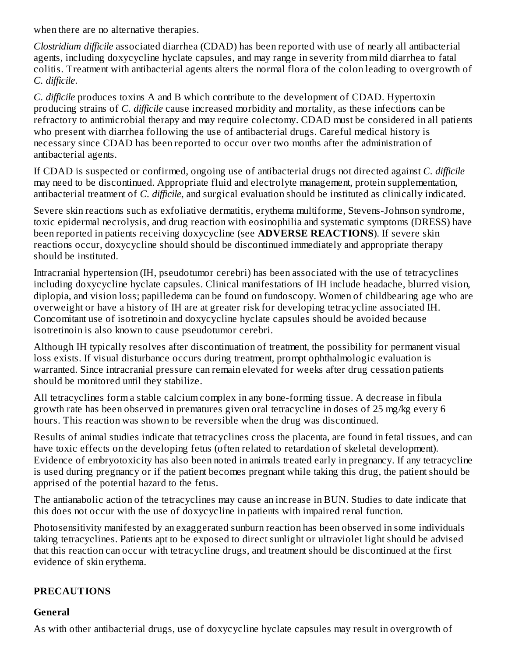when there are no alternative therapies.

*Clostridium difficile* associated diarrhea (CDAD) has been reported with use of nearly all antibacterial agents, including doxycycline hyclate capsules, and may range in severity from mild diarrhea to fatal colitis. Treatment with antibacterial agents alters the normal flora of the colon leading to overgrowth of *C. difficile*.

*C. difficile* produces toxins A and B which contribute to the development of CDAD. Hypertoxin producing strains of *C. difficile* cause increased morbidity and mortality, as these infections can be refractory to antimicrobial therapy and may require colectomy. CDAD must be considered in all patients who present with diarrhea following the use of antibacterial drugs. Careful medical history is necessary since CDAD has been reported to occur over two months after the administration of antibacterial agents.

If CDAD is suspected or confirmed, ongoing use of antibacterial drugs not directed against *C. difficile* may need to be discontinued. Appropriate fluid and electrolyte management, protein supplementation, antibacterial treatment of *C. difficile*, and surgical evaluation should be instituted as clinically indicated.

Severe skin reactions such as exfoliative dermatitis, erythema multiforme, Stevens-Johnson syndrome, toxic epidermal necrolysis, and drug reaction with eosinophilia and systematic symptoms (DRESS) have been reported in patients receiving doxycycline (see **ADVERSE REACTIONS**). If severe skin reactions occur, doxycycline should should be discontinued immediately and appropriate therapy should be instituted.

Intracranial hypertension (IH, pseudotumor cerebri) has been associated with the use of tetracyclines including doxycycline hyclate capsules. Clinical manifestations of IH include headache, blurred vision, diplopia, and vision loss; papilledema can be found on fundoscopy. Women of childbearing age who are overweight or have a history of IH are at greater risk for developing tetracycline associated IH. Concomitant use of isotretinoin and doxycycline hyclate capsules should be avoided because isotretinoin is also known to cause pseudotumor cerebri.

Although IH typically resolves after discontinuation of treatment, the possibility for permanent visual loss exists. If visual disturbance occurs during treatment, prompt ophthalmologic evaluation is warranted. Since intracranial pressure can remain elevated for weeks after drug cessation patients should be monitored until they stabilize.

All tetracyclines form a stable calcium complex in any bone-forming tissue. A decrease in fibula growth rate has been observed in prematures given oral tetracycline in doses of 25 mg/kg every 6 hours. This reaction was shown to be reversible when the drug was discontinued.

Results of animal studies indicate that tetracyclines cross the placenta, are found in fetal tissues, and can have toxic effects on the developing fetus (often related to retardation of skeletal development). Evidence of embryotoxicity has also been noted in animals treated early in pregnancy. If any tetracycline is used during pregnancy or if the patient becomes pregnant while taking this drug, the patient should be apprised of the potential hazard to the fetus.

The antianabolic action of the tetracyclines may cause an increase in BUN. Studies to date indicate that this does not occur with the use of doxycycline in patients with impaired renal function.

Photosensitivity manifested by an exaggerated sunburn reaction has been observed in some individuals taking tetracyclines. Patients apt to be exposed to direct sunlight or ultraviolet light should be advised that this reaction can occur with tetracycline drugs, and treatment should be discontinued at the first evidence of skin erythema.

# **PRECAUTIONS**

### **General**

As with other antibacterial drugs, use of doxycycline hyclate capsules may result in overgrowth of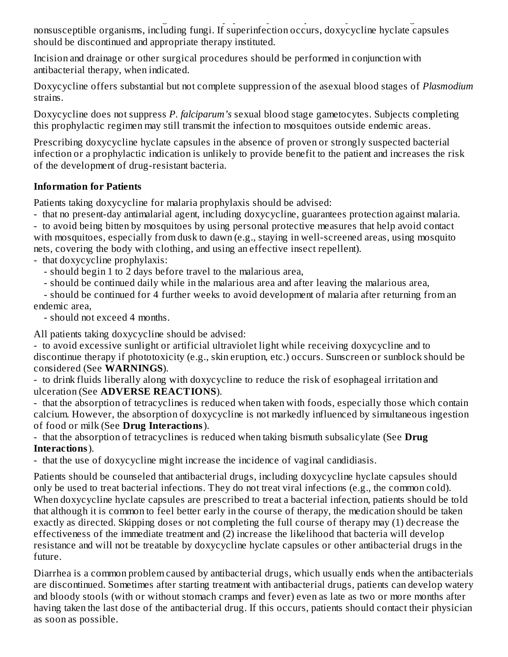$\mathcal{A}$ s with other antibacterial drugs, use of doxycycline hypersult in overgrowth of doxycycline hypersult in overgrowth of doxycycline hypersult in overgrowth of doxycycline hypersult in overgrowth of doxycycline hype nonsusceptible organisms, including fungi. If superinfection occurs, doxycycline hyclate capsules should be discontinued and appropriate therapy instituted.

Incision and drainage or other surgical procedures should be performed in conjunction with antibacterial therapy, when indicated.

Doxycycline offers substantial but not complete suppression of the asexual blood stages of *Plasmodium* strains.

Doxycycline does not suppress *P. falciparum's* sexual blood stage gametocytes. Subjects completing this prophylactic regimen may still transmit the infection to mosquitoes outside endemic areas.

Prescribing doxycycline hyclate capsules in the absence of proven or strongly suspected bacterial infection or a prophylactic indication is unlikely to provide benefit to the patient and increases the risk of the development of drug-resistant bacteria.

# **Information for Patients**

Patients taking doxycycline for malaria prophylaxis should be advised:

- that no present-day antimalarial agent, including doxycycline, guarantees protection against malaria. - to avoid being bitten by mosquitoes by using personal protective measures that help avoid contact with mosquitoes, especially from dusk to dawn (e.g., staying in well-screened areas, using mosquito nets, covering the body with clothing, and using an effective insect repellent).

- that doxycycline prophylaxis:

- should begin 1 to 2 days before travel to the malarious area,

- should be continued daily while in the malarious area and after leaving the malarious area,

- should be continued for 4 further weeks to avoid development of malaria after returning from an endemic area,

- should not exceed 4 months.

All patients taking doxycycline should be advised:

- to avoid excessive sunlight or artificial ultraviolet light while receiving doxycycline and to discontinue therapy if phototoxicity (e.g., skin eruption, etc.) occurs. Sunscreen or sunblock should be considered (See **WARNINGS**).

- to drink fluids liberally along with doxycycline to reduce the risk of esophageal irritation and ulceration (See **ADVERSE REACTIONS**).

- that the absorption of tetracyclines is reduced when taken with foods, especially those which contain calcium. However, the absorption of doxycycline is not markedly influenced by simultaneous ingestion of food or milk (See **Drug Interactions**).

- that the absorption of tetracyclines is reduced when taking bismuth subsalicylate (See **Drug Interactions**).

- that the use of doxycycline might increase the incidence of vaginal candidiasis.

Patients should be counseled that antibacterial drugs, including doxycycline hyclate capsules should only be used to treat bacterial infections. They do not treat viral infections (e.g., the common cold). When doxycycline hyclate capsules are prescribed to treat a bacterial infection, patients should be told that although it is common to feel better early in the course of therapy, the medication should be taken exactly as directed. Skipping doses or not completing the full course of therapy may (1) decrease the effectiveness of the immediate treatment and (2) increase the likelihood that bacteria will develop resistance and will not be treatable by doxycycline hyclate capsules or other antibacterial drugs in the future.

Diarrhea is a common problem caused by antibacterial drugs, which usually ends when the antibacterials are discontinued. Sometimes after starting treatment with antibacterial drugs, patients can develop watery and bloody stools (with or without stomach cramps and fever) even as late as two or more months after having taken the last dose of the antibacterial drug. If this occurs, patients should contact their physician as soon as possible.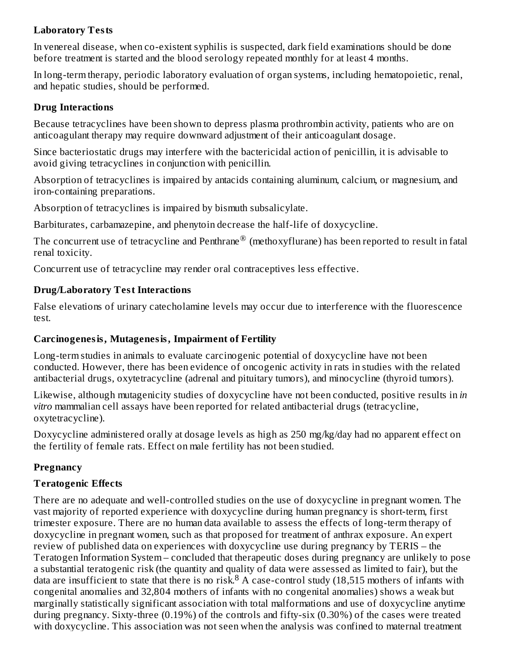### **Laboratory Tests**

In venereal disease, when co-existent syphilis is suspected, dark field examinations should be done before treatment is started and the blood serology repeated monthly for at least 4 months.

In long-term therapy, periodic laboratory evaluation of organ systems, including hematopoietic, renal, and hepatic studies, should be performed.

### **Drug Interactions**

Because tetracyclines have been shown to depress plasma prothrombin activity, patients who are on anticoagulant therapy may require downward adjustment of their anticoagulant dosage.

Since bacteriostatic drugs may interfere with the bactericidal action of penicillin, it is advisable to avoid giving tetracyclines in conjunction with penicillin.

Absorption of tetracyclines is impaired by antacids containing aluminum, calcium, or magnesium, and iron-containing preparations.

Absorption of tetracyclines is impaired by bismuth subsalicylate.

Barbiturates, carbamazepine, and phenytoin decrease the half-life of doxycycline.

The concurrent use of tetracycline and Penthrane $^\circledR$  (methoxyflurane) has been reported to result in fatal renal toxicity.

Concurrent use of tetracycline may render oral contraceptives less effective.

### **Drug/Laboratory Test Interactions**

False elevations of urinary catecholamine levels may occur due to interference with the fluorescence test.

### **Carcinogenesis, Mutagenesis, Impairment of Fertility**

Long-term studies in animals to evaluate carcinogenic potential of doxycycline have not been conducted. However, there has been evidence of oncogenic activity in rats in studies with the related antibacterial drugs, oxytetracycline (adrenal and pituitary tumors), and minocycline (thyroid tumors).

Likewise, although mutagenicity studies of doxycycline have not been conducted, positive results in *in vitro* mammalian cell assays have been reported for related antibacterial drugs (tetracycline, oxytetracycline).

Doxycycline administered orally at dosage levels as high as 250 mg/kg/day had no apparent effect on the fertility of female rats. Effect on male fertility has not been studied.

# **Pregnancy**

# **Teratogenic Effects**

There are no adequate and well-controlled studies on the use of doxycycline in pregnant women. The vast majority of reported experience with doxycycline during human pregnancy is short-term, first trimester exposure. There are no human data available to assess the effects of long-term therapy of doxycycline in pregnant women, such as that proposed for treatment of anthrax exposure. An expert review of published data on experiences with doxycycline use during pregnancy by TERIS – the Teratogen Information System – concluded that therapeutic doses during pregnancy are unlikely to pose a substantial teratogenic risk (the quantity and quality of data were assessed as limited to fair), but the data are insufficient to state that there is no risk.<sup>8</sup> A case-control study (18,515 mothers of infants with congenital anomalies and 32,804 mothers of infants with no congenital anomalies) shows a weak but marginally statistically significant association with total malformations and use of doxycycline anytime during pregnancy. Sixty-three (0.19%) of the controls and fifty-six (0.30%) of the cases were treated with doxycycline. This association was not seen when the analysis was confined to maternal treatment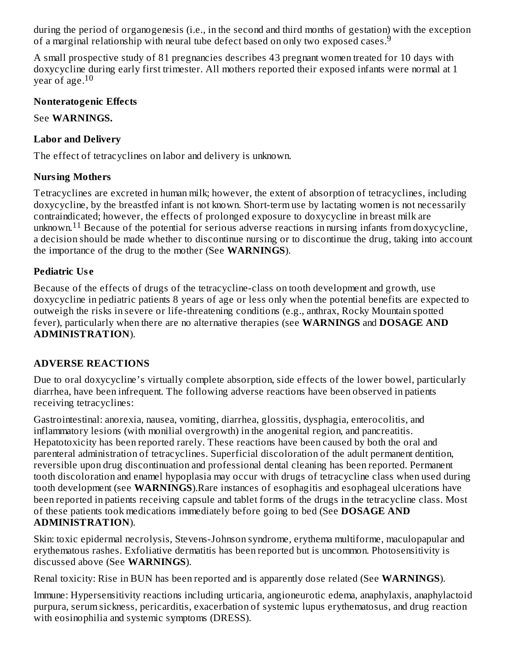during the period of organogenesis (i.e., in the second and third months of gestation) with the exception of a marginal relationship with neural tube defect based on only two exposed cases.  $9$ 

A small prospective study of 81 pregnancies describes 43 pregnant women treated for 10 days with doxycycline during early first trimester. All mothers reported their exposed infants were normal at 1 year of age. 10

### **Nonteratogenic Effects**

### See **WARNINGS.**

# **Labor and Delivery**

The effect of tetracyclines on labor and delivery is unknown.

# **Nursing Mothers**

Tetracyclines are excreted in human milk; however, the extent of absorption of tetracyclines, including doxycycline, by the breastfed infant is not known. Short-term use by lactating women is not necessarily contraindicated; however, the effects of prolonged exposure to doxycycline in breast milk are unknown.<sup>11</sup> Because of the potential for serious adverse reactions in nursing infants from doxycycline, a decision should be made whether to discontinue nursing or to discontinue the drug, taking into account the importance of the drug to the mother (See **WARNINGS**).

# **Pediatric Us e**

Because of the effects of drugs of the tetracycline-class on tooth development and growth, use doxycycline in pediatric patients 8 years of age or less only when the potential benefits are expected to outweigh the risks in severe or life-threatening conditions (e.g., anthrax, Rocky Mountain spotted fever), particularly when there are no alternative therapies (see **WARNINGS** and **DOSAGE AND ADMINISTRATION**).

# **ADVERSE REACTIONS**

Due to oral doxycycline's virtually complete absorption, side effects of the lower bowel, particularly diarrhea, have been infrequent. The following adverse reactions have been observed in patients receiving tetracyclines:

Gastrointestinal: anorexia, nausea, vomiting, diarrhea, glossitis, dysphagia, enterocolitis, and inflammatory lesions (with monilial overgrowth) in the anogenital region, and pancreatitis. Hepatotoxicity has been reported rarely. These reactions have been caused by both the oral and parenteral administration of tetracyclines. Superficial discoloration of the adult permanent dentition, reversible upon drug discontinuation and professional dental cleaning has been reported. Permanent tooth discoloration and enamel hypoplasia may occur with drugs of tetracycline class when used during tooth development (see **WARNINGS**).Rare instances of esophagitis and esophageal ulcerations have been reported in patients receiving capsule and tablet forms of the drugs in the tetracycline class. Most of these patients took medications immediately before going to bed (See **DOSAGE AND ADMINISTRATION**).

Skin: toxic epidermal necrolysis, Stevens-Johnson syndrome, erythema multiforme, maculopapular and erythematous rashes. Exfoliative dermatitis has been reported but is uncommon. Photosensitivity is discussed above (See **WARNINGS**).

Renal toxicity: Rise in BUN has been reported and is apparently dose related (See **WARNINGS**).

Immune: Hypersensitivity reactions including urticaria, angioneurotic edema, anaphylaxis, anaphylactoid purpura, serum sickness, pericarditis, exacerbation of systemic lupus erythematosus, and drug reaction with eosinophilia and systemic symptoms (DRESS).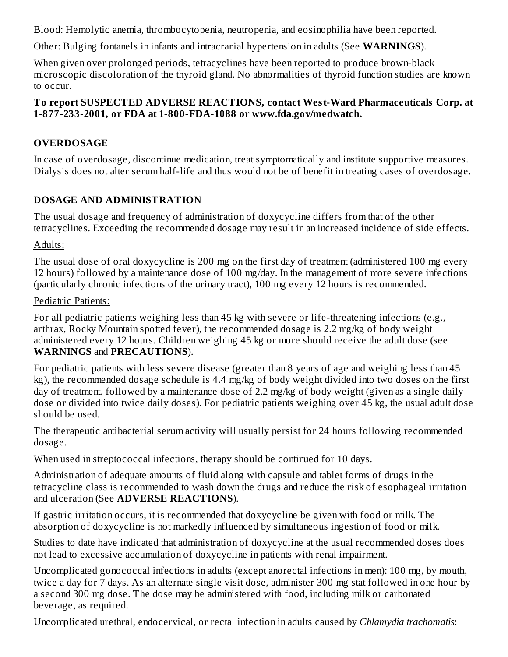Blood: Hemolytic anemia, thrombocytopenia, neutropenia, and eosinophilia have been reported.

Other: Bulging fontanels in infants and intracranial hypertension in adults (See **WARNINGS**).

When given over prolonged periods, tetracyclines have been reported to produce brown-black microscopic discoloration of the thyroid gland. No abnormalities of thyroid function studies are known to occur.

#### **To report SUSPECTED ADVERSE REACTIONS, contact West-Ward Pharmaceuticals Corp. at 1-877-233-2001, or FDA at 1-800-FDA-1088 or www.fda.gov/medwatch.**

# **OVERDOSAGE**

In case of overdosage, discontinue medication, treat symptomatically and institute supportive measures. Dialysis does not alter serum half-life and thus would not be of benefit in treating cases of overdosage.

# **DOSAGE AND ADMINISTRATION**

The usual dosage and frequency of administration of doxycycline differs from that of the other tetracyclines. Exceeding the recommended dosage may result in an increased incidence of side effects.

Adults:

The usual dose of oral doxycycline is 200 mg on the first day of treatment (administered 100 mg every 12 hours) followed by a maintenance dose of 100 mg/day. In the management of more severe infections (particularly chronic infections of the urinary tract), 100 mg every 12 hours is recommended.

### Pediatric Patients:

For all pediatric patients weighing less than 45 kg with severe or life-threatening infections (e.g., anthrax, Rocky Mountain spotted fever), the recommended dosage is 2.2 mg/kg of body weight administered every 12 hours. Children weighing 45 kg or more should receive the adult dose (see **WARNINGS** and **PRECAUTIONS**).

For pediatric patients with less severe disease (greater than 8 years of age and weighing less than 45 kg), the recommended dosage schedule is 4.4 mg/kg of body weight divided into two doses on the first day of treatment, followed by a maintenance dose of 2.2 mg/kg of body weight (given as a single daily dose or divided into twice daily doses). For pediatric patients weighing over 45 kg, the usual adult dose should be used.

The therapeutic antibacterial serum activity will usually persist for 24 hours following recommended dosage.

When used in streptococcal infections, therapy should be continued for 10 days.

Administration of adequate amounts of fluid along with capsule and tablet forms of drugs in the tetracycline class is recommended to wash down the drugs and reduce the risk of esophageal irritation and ulceration (See **ADVERSE REACTIONS**).

If gastric irritation occurs, it is recommended that doxycycline be given with food or milk. The absorption of doxycycline is not markedly influenced by simultaneous ingestion of food or milk.

Studies to date have indicated that administration of doxycycline at the usual recommended doses does not lead to excessive accumulation of doxycycline in patients with renal impairment.

Uncomplicated gonococcal infections in adults (except anorectal infections in men): 100 mg, by mouth, twice a day for 7 days. As an alternate single visit dose, administer 300 mg stat followed in one hour by a second 300 mg dose. The dose may be administered with food, including milk or carbonated beverage, as required.

Uncomplicated urethral, endocervical, or rectal infection in adults caused by *Chlamydia trachomatis*: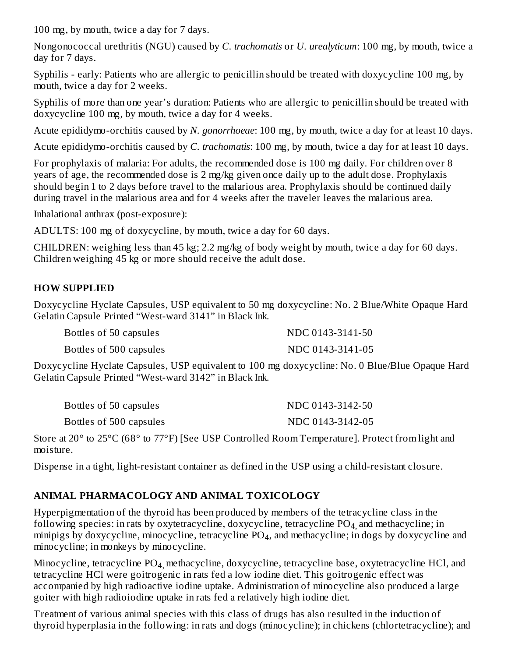100 mg, by mouth, twice a day for 7 days.

Nongonococcal urethritis (NGU) caused by *C. trachomatis* or *U. urealyticum*: 100 mg, by mouth, twice a day for 7 days.

Syphilis - early: Patients who are allergic to penicillin should be treated with doxycycline 100 mg, by mouth, twice a day for 2 weeks.

Syphilis of more than one year's duration: Patients who are allergic to penicillin should be treated with doxycycline 100 mg, by mouth, twice a day for 4 weeks.

Acute epididymo-orchitis caused by *N. gonorrhoeae*: 100 mg, by mouth, twice a day for at least 10 days.

Acute epididymo-orchitis caused by *C. trachomatis*: 100 mg, by mouth, twice a day for at least 10 days.

For prophylaxis of malaria: For adults, the recommended dose is 100 mg daily. For children over 8 years of age, the recommended dose is 2 mg/kg given once daily up to the adult dose. Prophylaxis should begin 1 to 2 days before travel to the malarious area. Prophylaxis should be continued daily during travel in the malarious area and for 4 weeks after the traveler leaves the malarious area.

Inhalational anthrax (post-exposure):

ADULTS: 100 mg of doxycycline, by mouth, twice a day for 60 days.

CHILDREN: weighing less than 45 kg; 2.2 mg/kg of body weight by mouth, twice a day for 60 days. Children weighing 45 kg or more should receive the adult dose.

### **HOW SUPPLIED**

Doxycycline Hyclate Capsules, USP equivalent to 50 mg doxycycline: No. 2 Blue/White Opaque Hard Gelatin Capsule Printed "West-ward 3141" in Black Ink.

| Bottles of 50 capsules  | NDC 0143-3141-50 |
|-------------------------|------------------|
| Bottles of 500 capsules | NDC 0143-3141-05 |

Doxycycline Hyclate Capsules, USP equivalent to 100 mg doxycycline: No. 0 Blue/Blue Opaque Hard Gelatin Capsule Printed "West-ward 3142" in Black Ink.

| Bottles of 50 capsules  | NDC 0143-3142-50 |
|-------------------------|------------------|
| Bottles of 500 capsules | NDC 0143-3142-05 |

Store at 20° to 25°C (68° to 77°F) [See USP Controlled Room Temperature]. Protect from light and moisture.

Dispense in a tight, light-resistant container as defined in the USP using a child-resistant closure.

# **ANIMAL PHARMACOLOGY AND ANIMAL TOXICOLOGY**

Hyperpigmentation of the thyroid has been produced by members of the tetracycline class in the following species: in rats by oxytetracycline, doxycycline, tetracycline PO $_{4}$  and methacycline; in minipigs by doxycycline, minocycline, tetracycline  $\rm PO_4$ , and methacycline; in dogs by doxycycline and minocycline; in monkeys by minocycline.

Minocycline, tetracycline  $\rm PO_4$ , methacycline, doxycycline, tetracycline base, oxytetracycline HCl, and tetracycline HCl were goitrogenic in rats fed a low iodine diet. This goitrogenic effect was accompanied by high radioactive iodine uptake. Administration of minocycline also produced a large goiter with high radioiodine uptake in rats fed a relatively high iodine diet.

Treatment of various animal species with this class of drugs has also resulted in the induction of thyroid hyperplasia in the following: in rats and dogs (minocycline); in chickens (chlortetracycline); and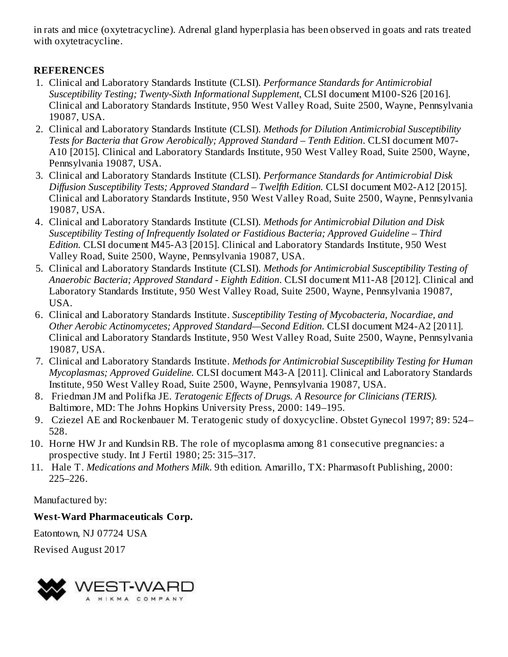in rats and mice (oxytetracycline). Adrenal gland hyperplasia has been observed in goats and rats treated with oxytetracycline.

# **REFERENCES**

- 1. Clinical and Laboratory Standards Institute (CLSI). *Performance Standards for Antimicrobial Susceptibility Testing; Twenty-Sixth Informational Supplement*, CLSI document M100-S26 [2016]. Clinical and Laboratory Standards Institute, 950 West Valley Road, Suite 2500, Wayne, Pennsylvania 19087, USA.
- 2. Clinical and Laboratory Standards Institute (CLSI). *Methods for Dilution Antimicrobial Susceptibility Tests for Bacteria that Grow Aerobically; Approved Standard – Tenth Edition*. CLSI document M07- A10 [2015]. Clinical and Laboratory Standards Institute, 950 West Valley Road, Suite 2500, Wayne, Pennsylvania 19087, USA.
- 3. Clinical and Laboratory Standards Institute (CLSI). *Performance Standards for Antimicrobial Disk Diffusion Susceptibility Tests; Approved Standard – Twelfth Edition.* CLSI document M02-A12 [2015]. Clinical and Laboratory Standards Institute, 950 West Valley Road, Suite 2500, Wayne, Pennsylvania 19087, USA.
- 4. Clinical and Laboratory Standards Institute (CLSI). *Methods for Antimicrobial Dilution and Disk Susceptibility Testing of Infrequently Isolated or Fastidious Bacteria; Approved Guideline – Third Edition.* CLSI document M45-A3 [2015]. Clinical and Laboratory Standards Institute, 950 West Valley Road, Suite 2500, Wayne, Pennsylvania 19087, USA.
- 5. Clinical and Laboratory Standards Institute (CLSI). *Methods for Antimicrobial Susceptibility Testing of Anaerobic Bacteria; Approved Standard - Eighth Edition*. CLSI document M11-A8 [2012]. Clinical and Laboratory Standards Institute, 950 West Valley Road, Suite 2500, Wayne, Pennsylvania 19087, USA.
- 6. Clinical and Laboratory Standards Institute. *Susceptibility Testing of Mycobacteria, Nocardiae, and Other Aerobic Actinomycetes; Approved Standard—Second Edition.* CLSI document M24-A2 [2011]. Clinical and Laboratory Standards Institute, 950 West Valley Road, Suite 2500, Wayne, Pennsylvania 19087, USA.
- 7. Clinical and Laboratory Standards Institute. *Methods for Antimicrobial Susceptibility Testing for Human Mycoplasmas; Approved Guideline.* CLSI document M43-A [2011]. Clinical and Laboratory Standards Institute, 950 West Valley Road, Suite 2500, Wayne, Pennsylvania 19087, USA.
- 8. Friedman JM and Polifka JE. *Teratogenic Effects of Drugs. A Resource for Clinicians (TERIS).* Baltimore, MD: The Johns Hopkins University Press, 2000: 149–195.
- 9. Cziezel AE and Rockenbauer M. Teratogenic study of doxycycline. Obstet Gynecol 1997; 89: 524– 528.
- 10. Horne HW Jr and Kundsin RB. The role of mycoplasma among 81 consecutive pregnancies: a prospective study. Int J Fertil 1980; 25: 315–317.
- 11. Hale T. *Medications and Mothers Milk*. 9th edition. Amarillo, TX: Pharmasoft Publishing, 2000: 225–226.

Manufactured by:

# **West-Ward Pharmaceuticals Corp.**

Eatontown, NJ 07724 USA

Revised August 2017

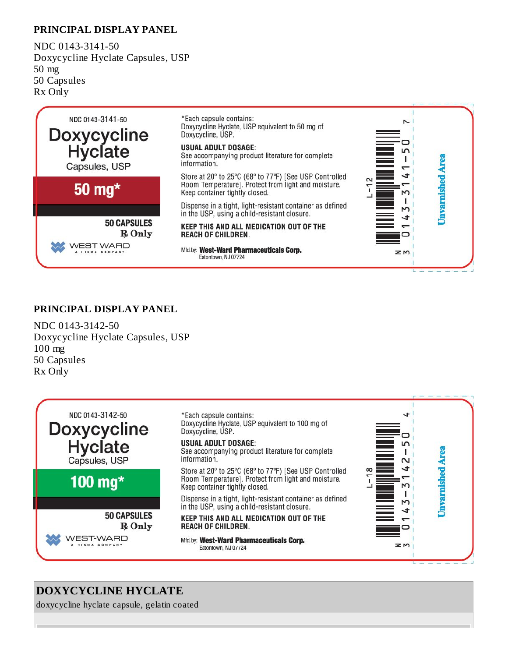### **PRINCIPAL DISPLAY PANEL**

NDC 0143-3141-50 Doxycycline Hyclate Capsules, USP 50 mg 50 Capsules Rx Only



#### **PRINCIPAL DISPLAY PANEL**

NDC 0143-3142-50 Doxycycline Hyclate Capsules, USP 100 mg 50 Capsules Rx Only



### **DOXYCYCLINE HYCLATE**

doxycycline hyclate capsule, gelatin coated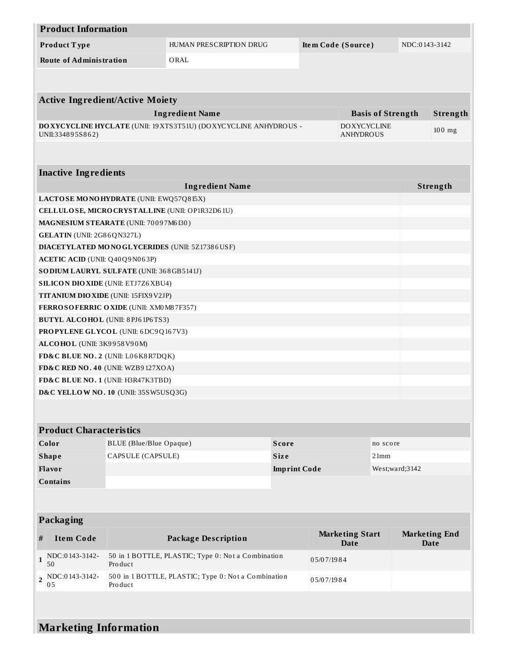|                                                 | <b>Product Information</b>                                                  |                                             |                                                                  |              |                    |                                        |                          |               |                      |
|-------------------------------------------------|-----------------------------------------------------------------------------|---------------------------------------------|------------------------------------------------------------------|--------------|--------------------|----------------------------------------|--------------------------|---------------|----------------------|
|                                                 |                                                                             |                                             | HUMAN PRESCRIPTION DRUG                                          |              |                    |                                        |                          | NDC:0143-3142 |                      |
|                                                 | Product Type                                                                |                                             |                                                                  |              | Item Code (Source) |                                        |                          |               |                      |
|                                                 | <b>Route of Administration</b>                                              |                                             | ORAL                                                             |              |                    |                                        |                          |               |                      |
|                                                 |                                                                             |                                             |                                                                  |              |                    |                                        |                          |               |                      |
|                                                 |                                                                             |                                             |                                                                  |              |                    |                                        |                          |               |                      |
|                                                 |                                                                             | <b>Active Ingredient/Active Moiety</b>      |                                                                  |              |                    |                                        |                          |               |                      |
|                                                 |                                                                             |                                             | <b>Ingredient Name</b>                                           |              |                    |                                        | <b>Basis of Strength</b> |               | Strength             |
|                                                 | UNII:334895S862)                                                            |                                             | DOXYCYCLINE HYCLATE (UNII: 19 XTS3T51U) (DOXYCYCLINE ANHYDROUS - |              |                    | <b>DOXYCYCLINE</b><br><b>ANHYDROUS</b> |                          |               | $100$ mg             |
|                                                 |                                                                             |                                             |                                                                  |              |                    |                                        |                          |               |                      |
|                                                 |                                                                             |                                             |                                                                  |              |                    |                                        |                          |               |                      |
|                                                 | <b>Inactive Ingredients</b>                                                 |                                             |                                                                  |              |                    |                                        |                          |               |                      |
|                                                 |                                                                             |                                             | <b>Ingredient Name</b>                                           |              |                    |                                        |                          |               | Strength             |
|                                                 |                                                                             | LACTOSE MONOHYDRATE (UNII: EWQ57Q8I5X)      |                                                                  |              |                    |                                        |                          |               |                      |
|                                                 |                                                                             |                                             | CELLULOSE, MICRO CRYSTALLINE (UNII: OP1R32D61U)                  |              |                    |                                        |                          |               |                      |
|                                                 |                                                                             | MAGNESIUM STEARATE (UNII: 70097M6I30)       |                                                                  |              |                    |                                        |                          |               |                      |
|                                                 | GELATIN (UNII: 2G86QN327L)                                                  |                                             |                                                                  |              |                    |                                        |                          |               |                      |
|                                                 |                                                                             |                                             | DIACETYLATED MONOGLYCERIDES (UNII: 5Z17386USF)                   |              |                    |                                        |                          |               |                      |
|                                                 |                                                                             |                                             |                                                                  |              |                    |                                        |                          |               |                      |
|                                                 | ACETIC ACID (UNII: Q40Q9N063P)<br>SO DIUM LAURYL SULFATE (UNII: 368GB5141J) |                                             |                                                                  |              |                    |                                        |                          |               |                      |
|                                                 |                                                                             | <b>SILICON DIO XIDE (UNII: ETJ7Z6 XBU4)</b> |                                                                  |              |                    |                                        |                          |               |                      |
|                                                 |                                                                             | <b>TITANIUM DIO XIDE</b> (UNII: 15FIX9V2JP) |                                                                  |              |                    |                                        |                          |               |                      |
|                                                 |                                                                             | FERROSOFERRIC OXIDE (UNII: XM0 M87F357)     |                                                                  |              |                    |                                        |                          |               |                      |
|                                                 |                                                                             | <b>BUTYL ALCOHOL</b> (UNII: 8PJ61P6TS3)     |                                                                  |              |                    |                                        |                          |               |                      |
|                                                 |                                                                             | <b>PROPYLENE GLYCOL</b> (UNII: 6DC9Q167V3)  |                                                                  |              |                    |                                        |                          |               |                      |
|                                                 | ALCOHOL (UNII: 3K9958V90M)                                                  |                                             |                                                                  |              |                    |                                        |                          |               |                      |
| FD&C BLUE NO. 2 (UNII: L06K8R7DQK)              |                                                                             |                                             |                                                                  |              |                    |                                        |                          |               |                      |
|                                                 |                                                                             | FD&C RED NO. 40 (UNII: WZB9127XOA)          |                                                                  |              |                    |                                        |                          |               |                      |
|                                                 |                                                                             | FD&C BLUE NO. 1 (UNII: H3R47K3TBD)          |                                                                  |              |                    |                                        |                          |               |                      |
|                                                 |                                                                             | D&C YELLOW NO. 10 (UNII: 35SW5USQ3G)        |                                                                  |              |                    |                                        |                          |               |                      |
|                                                 |                                                                             |                                             |                                                                  |              |                    |                                        |                          |               |                      |
|                                                 |                                                                             |                                             |                                                                  |              |                    |                                        |                          |               |                      |
|                                                 | <b>Product Characteristics</b>                                              |                                             |                                                                  |              |                    |                                        |                          |               |                      |
|                                                 | Color                                                                       | BLUE (Blue/Blue Opaque)                     |                                                                  | <b>Score</b> |                    |                                        | no score                 |               |                      |
|                                                 | <b>Shape</b>                                                                | CAPSULE (CAPSULE)                           |                                                                  | Size         |                    |                                        | 21mm                     |               |                      |
| Flavor<br>West;ward;3142<br><b>Imprint Code</b> |                                                                             |                                             |                                                                  |              |                    |                                        |                          |               |                      |
|                                                 | <b>Contains</b>                                                             |                                             |                                                                  |              |                    |                                        |                          |               |                      |
|                                                 |                                                                             |                                             |                                                                  |              |                    |                                        |                          |               |                      |
|                                                 |                                                                             |                                             |                                                                  |              |                    |                                        |                          |               |                      |
|                                                 | Packaging                                                                   |                                             |                                                                  |              |                    |                                        |                          |               |                      |
| $\#$                                            | <b>Item Code</b>                                                            |                                             | <b>Package Description</b>                                       |              |                    | <b>Marketing Start</b>                 |                          |               | <b>Marketing End</b> |
|                                                 |                                                                             |                                             |                                                                  |              |                    | Date                                   |                          |               | <b>Date</b>          |
| $\mathbf{1}$                                    | NDC:0143-3142-<br>50                                                        | Product                                     | 50 in 1 BOTTLE, PLASTIC; Type 0: Not a Combination               |              | 05/07/1984         |                                        |                          |               |                      |
| $\overline{2}$                                  | NDC:0143-3142-<br>05                                                        | Product                                     | 500 in 1 BOTTLE, PLASTIC; Type 0: Not a Combination              |              | 05/07/1984         |                                        |                          |               |                      |
|                                                 |                                                                             |                                             |                                                                  |              |                    |                                        |                          |               |                      |
|                                                 |                                                                             |                                             |                                                                  |              |                    |                                        |                          |               |                      |
|                                                 | <b>Marketing Information</b>                                                |                                             |                                                                  |              |                    |                                        |                          |               |                      |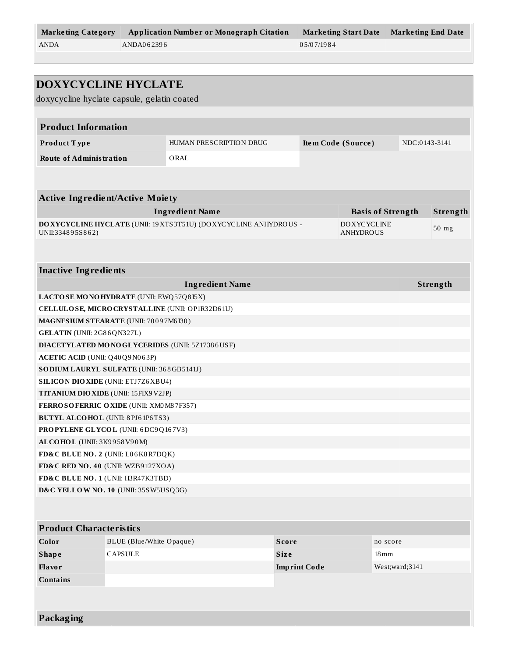| <b>Marketing Category</b> | <b>Application Number or Monograph Citation</b> | Marketing Start Date | <b>Marketing End Date</b> |
|---------------------------|-------------------------------------------------|----------------------|---------------------------|
| ANDA                      | ANDA062396                                      | 05/07/1984           |                           |

| <b>DOXYCYCLINE HYCLATE</b>                  |                          |                                                                  |                     |                    |                          |               |
|---------------------------------------------|--------------------------|------------------------------------------------------------------|---------------------|--------------------|--------------------------|---------------|
| doxycycline hyclate capsule, gelatin coated |                          |                                                                  |                     |                    |                          |               |
|                                             |                          |                                                                  |                     |                    |                          |               |
| <b>Product Information</b>                  |                          |                                                                  |                     |                    |                          |               |
| Product Type                                |                          | HUMAN PRESCRIPTION DRUG                                          |                     | Item Code (Source) |                          | NDC:0143-3141 |
| <b>Route of Administration</b>              |                          | ORAL                                                             |                     |                    |                          |               |
|                                             |                          |                                                                  |                     |                    |                          |               |
|                                             |                          |                                                                  |                     |                    |                          |               |
| <b>Active Ingredient/Active Moiety</b>      |                          |                                                                  |                     |                    |                          |               |
|                                             |                          | <b>Ingredient Name</b>                                           |                     |                    | <b>Basis of Strength</b> | Strength      |
|                                             |                          | DOXYCYCLINE HYCLATE (UNII: 19 XTS3T51U) (DOXYCYCLINE ANHYDROUS - |                     | <b>DOXYCYCLINE</b> |                          |               |
| UNI:334895S862)                             |                          |                                                                  |                     | <b>ANHYDROUS</b>   |                          | 50 mg         |
|                                             |                          |                                                                  |                     |                    |                          |               |
|                                             |                          |                                                                  |                     |                    |                          |               |
| <b>Inactive Ingredients</b>                 |                          |                                                                  |                     |                    |                          |               |
|                                             |                          | <b>Ingredient Name</b>                                           |                     |                    |                          | Strength      |
| LACTOSE MONOHYDRATE (UNII: EWQ57Q8I5X)      |                          |                                                                  |                     |                    |                          |               |
|                                             |                          | CELLULOSE, MICRO CRYSTALLINE (UNII: OP1R32D61U)                  |                     |                    |                          |               |
| MAGNESIUM STEARATE (UNII: 70097M6I30)       |                          |                                                                  |                     |                    |                          |               |
| GELATIN (UNII: 2G86QN327L)                  |                          |                                                                  |                     |                    |                          |               |
|                                             |                          | DIACETYLATED MONOGLYCERIDES (UNII: 5Z17386USF)                   |                     |                    |                          |               |
| ACETIC ACID (UNII: Q40Q9N063P)              |                          |                                                                  |                     |                    |                          |               |
| SODIUM LAURYL SULFATE (UNII: 368GB5141J)    |                          |                                                                  |                     |                    |                          |               |
| <b>SILICON DIO XIDE (UNII: ETJ7Z6 XBU4)</b> |                          |                                                                  |                     |                    |                          |               |
| TITANIUM DIO XIDE (UNII: 15FIX9V2JP)        |                          |                                                                  |                     |                    |                          |               |
| FERROSOFERRIC OXIDE (UNII: XM0 M8 7F357)    |                          |                                                                  |                     |                    |                          |               |
| <b>BUTYL ALCOHOL</b> (UNII: 8PJ61P6TS3)     |                          |                                                                  |                     |                    |                          |               |
| <b>PROPYLENE GLYCOL (UNII: 6DC9Q167V3)</b>  |                          |                                                                  |                     |                    |                          |               |
| ALCOHOL (UNII: 3K9958V90M)                  |                          |                                                                  |                     |                    |                          |               |
| FD&C BLUE NO. 2 (UNII: L06K8R7DQK)          |                          |                                                                  |                     |                    |                          |               |
| FD&C RED NO. 40 (UNII: WZB9127XOA)          |                          |                                                                  |                     |                    |                          |               |
| FD&C BLUE NO. 1 (UNII: H3R47K3TBD)          |                          |                                                                  |                     |                    |                          |               |
| D&C YELLOW NO. 10 (UNII: 35SW5USQ3G)        |                          |                                                                  |                     |                    |                          |               |
|                                             |                          |                                                                  |                     |                    |                          |               |
| <b>Product Characteristics</b>              |                          |                                                                  |                     |                    |                          |               |
| Color                                       | BLUE (Blue/White Opaque) |                                                                  | <b>Score</b>        |                    | no score                 |               |
|                                             | <b>CAPSULE</b>           |                                                                  | <b>Size</b>         | $18 \,\mathrm{mm}$ |                          |               |
| <b>Shape</b><br>Flavor                      |                          |                                                                  | <b>Imprint Code</b> |                    | West;ward;3141           |               |
| <b>Contains</b>                             |                          |                                                                  |                     |                    |                          |               |
|                                             |                          |                                                                  |                     |                    |                          |               |
|                                             |                          |                                                                  |                     |                    |                          |               |
| Packaging                                   |                          |                                                                  |                     |                    |                          |               |
|                                             |                          |                                                                  |                     |                    |                          |               |